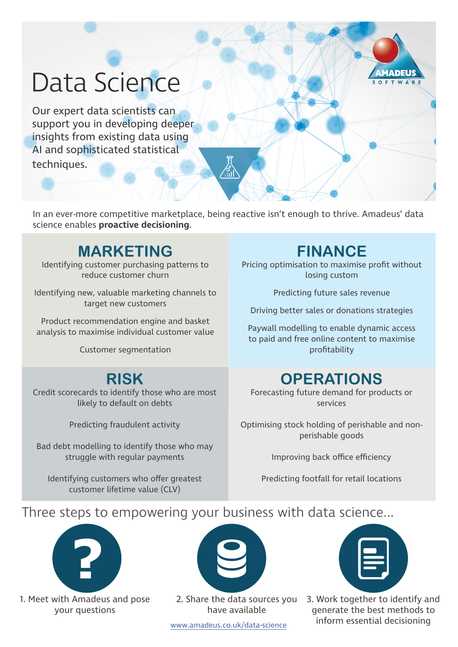# Data Science

Our expert data scientists can support you in developing deeper insights from existing data using AI and sophisticated statistical techniques.

In an ever-more competitive marketplace, being reactive isn't enough to thrive. Amadeus' data science enables **proactive decisioning**.

 $\binom{8}{11}$ 

# **MARKETING**

Identifying customer purchasing patterns to reduce customer churn

Identifying new, valuable marketing channels to target new customers

Product recommendation engine and basket analysis to maximise individual customer value

Customer segmentation

**RISK** Credit scorecards to identify those who are most likely to default on debts

Predicting fraudulent activity

Bad debt modelling to identify those who may struggle with regular payments

Identifying customers who offer greatest customer lifetime value (CLV)

# **FINANCE**

**MADEUS** OFTWARE

Pricing optimisation to maximise profit without losing custom

Predicting future sales revenue

Driving better sales or donations strategies

Paywall modelling to enable dynamic access to paid and free online content to maximise profitability

## **OPERATIONS**

Forecasting future demand for products or services

Optimising stock holding of perishable and nonperishable goods

Improving back office efficiency

Predicting footfall for retail locations

## Three steps to empowering your business with data science...



1. Meet with Amadeus and pose your questions



2. Share the data sources you have available

3. Work together to identify and generate the best methods to inform essential decisioning www.amadeus.co.uk/data-science